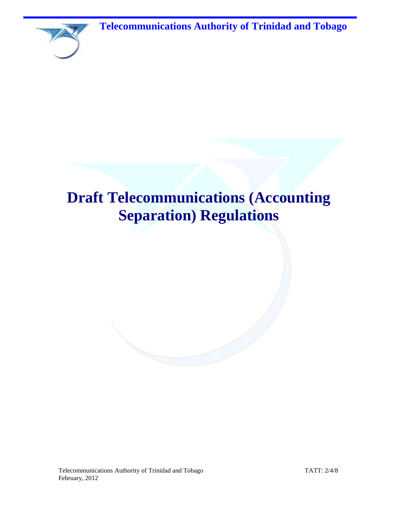**Telecommunications Authority of Trinidad and Tobago**



# **Draft Telecommunications (Accounting Separation) Regulations**

Telecommunications Authority of Trinidad and Tobago TATT: 2/4/8 February, 2012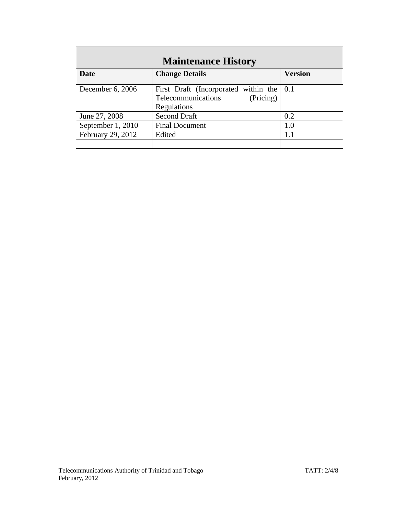| <b>Maintenance History</b> |                                                                                                            |                |  |
|----------------------------|------------------------------------------------------------------------------------------------------------|----------------|--|
| Date                       | <b>Change Details</b>                                                                                      | <b>Version</b> |  |
| December 6, 2006           | First Draft (Incorporated within the $\vert 0.1 \rangle$<br>Telecommunications<br>(Pricing)<br>Regulations |                |  |
| June 27, 2008              | <b>Second Draft</b>                                                                                        | 0.2            |  |
| September 1, 2010          | <b>Final Document</b>                                                                                      | 1.0            |  |
| February 29, 2012          | Edited                                                                                                     | 1.1            |  |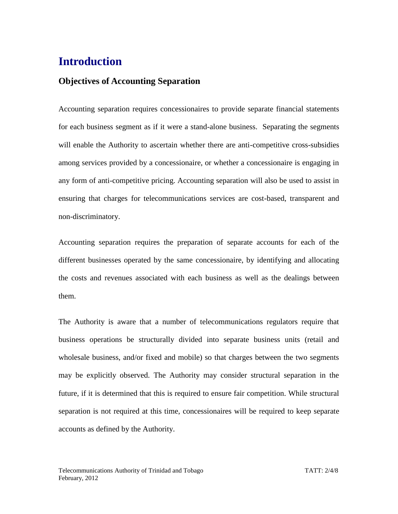# **Introduction**

# **Objectives of Accounting Separation**

Accounting separation requires concessionaires to provide separate financial statements for each business segment as if it were a stand-alone business. Separating the segments will enable the Authority to ascertain whether there are anti-competitive cross-subsidies among services provided by a concessionaire, or whether a concessionaire is engaging in any form of anti-competitive pricing. Accounting separation will also be used to assist in ensuring that charges for telecommunications services are cost-based, transparent and non-discriminatory.

Accounting separation requires the preparation of separate accounts for each of the different businesses operated by the same concessionaire, by identifying and allocating the costs and revenues associated with each business as well as the dealings between them.

The Authority is aware that a number of telecommunications regulators require that business operations be structurally divided into separate business units (retail and wholesale business, and/or fixed and mobile) so that charges between the two segments may be explicitly observed. The Authority may consider structural separation in the future, if it is determined that this is required to ensure fair competition. While structural separation is not required at this time, concessionaires will be required to keep separate accounts as defined by the Authority.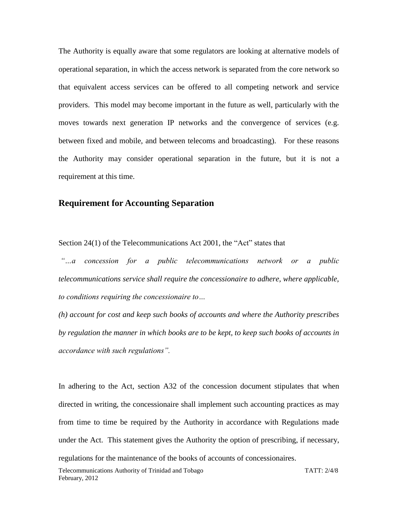The Authority is equally aware that some regulators are looking at alternative models of operational separation, in which the access network is separated from the core network so that equivalent access services can be offered to all competing network and service providers. This model may become important in the future as well, particularly with the moves towards next generation IP networks and the convergence of services (e.g. between fixed and mobile, and between telecoms and broadcasting). For these reasons the Authority may consider operational separation in the future, but it is not a requirement at this time.

### **Requirement for Accounting Separation**

Section 24(1) of the Telecommunications Act 2001, the "Act" states that

*"…a concession for a public telecommunications network or a public telecommunications service shall require the concessionaire to adhere, where applicable, to conditions requiring the concessionaire to…* 

*(h) account for cost and keep such books of accounts and where the Authority prescribes by regulation the manner in which books are to be kept, to keep such books of accounts in accordance with such regulations".* 

In adhering to the Act, section A32 of the concession document stipulates that when directed in writing, the concessionaire shall implement such accounting practices as may from time to time be required by the Authority in accordance with Regulations made under the Act. This statement gives the Authority the option of prescribing, if necessary, regulations for the maintenance of the books of accounts of concessionaires.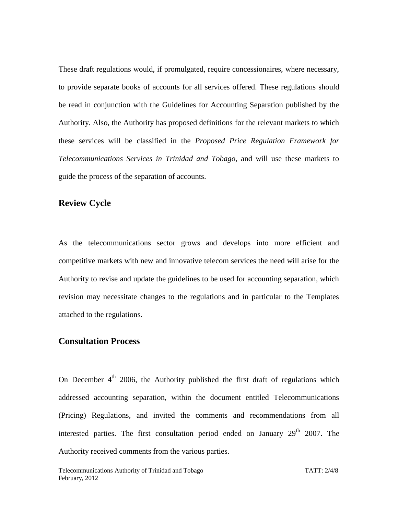These draft regulations would, if promulgated, require concessionaires, where necessary, to provide separate books of accounts for all services offered. These regulations should be read in conjunction with the Guidelines for Accounting Separation published by the Authority. Also, the Authority has proposed definitions for the relevant markets to which these services will be classified in the *Proposed Price Regulation Framework for Telecommunications Services in Trinidad and Tobago,* and will use these markets to guide the process of the separation of accounts.

### **Review Cycle**

As the telecommunications sector grows and develops into more efficient and competitive markets with new and innovative telecom services the need will arise for the Authority to revise and update the guidelines to be used for accounting separation, which revision may necessitate changes to the regulations and in particular to the Templates attached to the regulations.

### **Consultation Process**

On December  $4<sup>th</sup>$  2006, the Authority published the first draft of regulations which addressed accounting separation, within the document entitled Telecommunications (Pricing) Regulations, and invited the comments and recommendations from all interested parties. The first consultation period ended on January  $29<sup>th</sup> 2007$ . The Authority received comments from the various parties.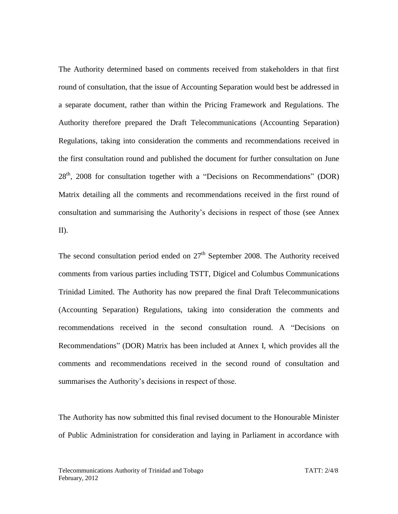The Authority determined based on comments received from stakeholders in that first round of consultation, that the issue of Accounting Separation would best be addressed in a separate document, rather than within the Pricing Framework and Regulations. The Authority therefore prepared the Draft Telecommunications (Accounting Separation) Regulations, taking into consideration the comments and recommendations received in the first consultation round and published the document for further consultation on June  $28<sup>th</sup>$ , 2008 for consultation together with a "Decisions on Recommendations" (DOR) Matrix detailing all the comments and recommendations received in the first round of consultation and summarising the Authority's decisions in respect of those (see Annex II).

The second consultation period ended on  $27<sup>th</sup>$  September 2008. The Authority received comments from various parties including TSTT, Digicel and Columbus Communications Trinidad Limited. The Authority has now prepared the final Draft Telecommunications (Accounting Separation) Regulations, taking into consideration the comments and recommendations received in the second consultation round. A "Decisions on Recommendations" (DOR) Matrix has been included at Annex I, which provides all the comments and recommendations received in the second round of consultation and summarises the Authority's decisions in respect of those.

The Authority has now submitted this final revised document to the Honourable Minister of Public Administration for consideration and laying in Parliament in accordance with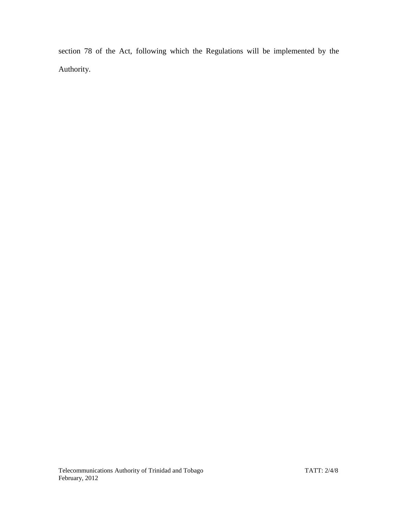section 78 of the Act, following which the Regulations will be implemented by the Authority.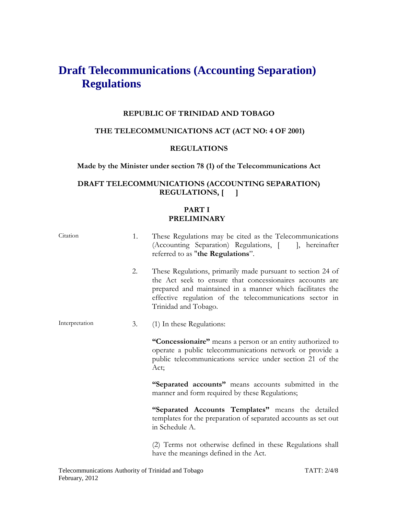# **Draft Telecommunications (Accounting Separation) Regulations**

#### **REPUBLIC OF TRINIDAD AND TOBAGO**

### **THE TELECOMMUNICATIONS ACT (ACT NO: 4 OF 2001)**

#### **REGULATIONS**

#### **Made by the Minister under section 78 (1) of the Telecommunications Act**

### **DRAFT TELECOMMUNICATIONS (ACCOUNTING SEPARATION) REGULATIONS, [ ]**

#### **PART I PRELIMINARY**

| Citation       | 1. | These Regulations may be cited as the Telecommunications<br>(Accounting Separation) Regulations, [ ], hereinafter<br>referred to as "the Regulations".                                                                                                                   |
|----------------|----|--------------------------------------------------------------------------------------------------------------------------------------------------------------------------------------------------------------------------------------------------------------------------|
|                | 2. | These Regulations, primarily made pursuant to section 24 of<br>the Act seek to ensure that concessionaires accounts are<br>prepared and maintained in a manner which facilitates the<br>effective regulation of the telecommunications sector in<br>Trinidad and Tobago. |
| Interpretation | 3. | (1) In these Regulations:                                                                                                                                                                                                                                                |
|                |    | "Concessionaire" means a person or an entity authorized to<br>operate a public telecommunications network or provide a<br>public telecommunications service under section 21 of the<br>Act;                                                                              |
|                |    | "Separated accounts" means accounts submitted in the<br>manner and form required by these Regulations;                                                                                                                                                                   |
|                |    | "Separated Accounts Templates" means the detailed<br>templates for the preparation of separated accounts as set out<br>in Schedule A.                                                                                                                                    |
|                |    | (2) Terms not otherwise defined in these Regulations shall                                                                                                                                                                                                               |

have the meanings defined in the Act.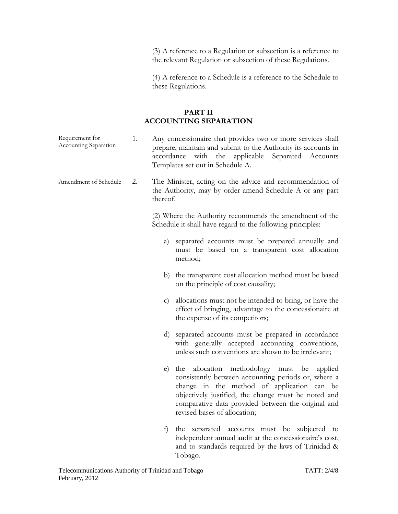(3) A reference to a Regulation or subsection is a reference to the relevant Regulation or subsection of these Regulations.

(4) A reference to a Schedule is a reference to the Schedule to these Regulations.

#### **PART II ACCOUNTING SEPARATION**

- Requirement for Accounting Separation 1. Any concessionaire that provides two or more services shall prepare, maintain and submit to the Authority its accounts in accordance with the applicable Separated Accounts Templates set out in Schedule A.
- Amendment of Schedule 2. The Minister, acting on the advice and recommendation of the Authority, may by order amend Schedule A or any part thereof.

(2) Where the Authority recommends the amendment of the Schedule it shall have regard to the following principles:

- a) separated accounts must be prepared annually and must be based on a transparent cost allocation method;
- b) the transparent cost allocation method must be based on the principle of cost causality;
- c) allocations must not be intended to bring, or have the effect of bringing, advantage to the concessionaire at the expense of its competitors;
- d) separated accounts must be prepared in accordance with generally accepted accounting conventions, unless such conventions are shown to be irrelevant;
- e) the allocation methodology must be applied consistently between accounting periods or, where a change in the method of application can be objectively justified, the change must be noted and comparative data provided between the original and revised bases of allocation;
- f) the separated accounts must be subjected to independent annual audit at the concessionaire's cost, and to standards required by the laws of Trinidad & Tobago.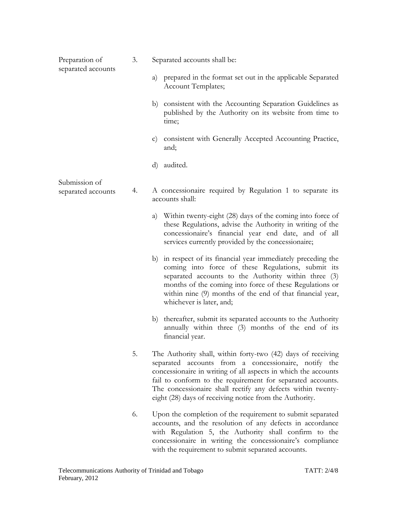| Preparation of<br>separated accounts | 3. | Separated accounts shall be:                                                                                                                                                                                                                                                                                                                                                   |
|--------------------------------------|----|--------------------------------------------------------------------------------------------------------------------------------------------------------------------------------------------------------------------------------------------------------------------------------------------------------------------------------------------------------------------------------|
|                                      |    | a) prepared in the format set out in the applicable Separated<br>Account Templates;                                                                                                                                                                                                                                                                                            |
|                                      |    | b) consistent with the Accounting Separation Guidelines as<br>published by the Authority on its website from time to<br>time;                                                                                                                                                                                                                                                  |
|                                      |    | c) consistent with Generally Accepted Accounting Practice,<br>and;                                                                                                                                                                                                                                                                                                             |
|                                      |    | audited.<br>$\rm d$                                                                                                                                                                                                                                                                                                                                                            |
| Submission of<br>separated accounts  | 4. | A concessionaire required by Regulation 1 to separate its<br>accounts shall:                                                                                                                                                                                                                                                                                                   |
|                                      |    | a) Within twenty-eight (28) days of the coming into force of<br>these Regulations, advise the Authority in writing of the<br>concessionaire's financial year end date, and of all<br>services currently provided by the concessionaire;                                                                                                                                        |
|                                      |    | b) in respect of its financial year immediately preceding the<br>coming into force of these Regulations, submit its<br>separated accounts to the Authority within three (3)<br>months of the coming into force of these Regulations or<br>within nine (9) months of the end of that financial year,<br>whichever is later, and;                                                |
|                                      |    | b) thereafter, submit its separated accounts to the Authority<br>annually within three (3) months of the end of its<br>financial year.                                                                                                                                                                                                                                         |
|                                      | 5. | The Authority shall, within forty-two (42) days of receiving<br>separated accounts from a concessionaire, notify the<br>concessionaire in writing of all aspects in which the accounts<br>fail to conform to the requirement for separated accounts.<br>The concessionaire shall rectify any defects within twenty-<br>eight (28) days of receiving notice from the Authority. |
|                                      | 6. | Upon the completion of the requirement to submit separated<br>accounts, and the resolution of any defects in accordance<br>with Regulation 5, the Authority shall confirm to the<br>concessionaire in writing the concessionaire's compliance<br>with the requirement to submit separated accounts.                                                                            |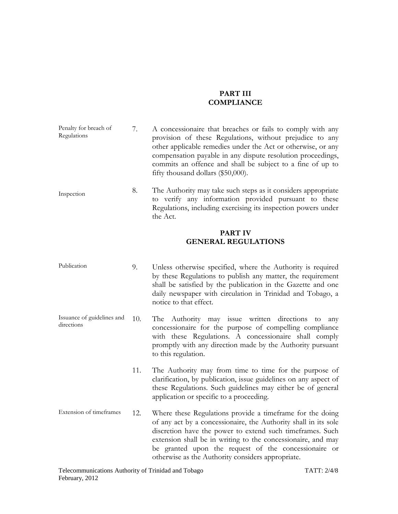#### **PART III COMPLIANCE**

| Penalty for breach of<br>Regulations | A concessionaire that breaches or fails to comply with any<br>provision of these Regulations, without prejudice to any<br>other applicable remedies under the Act or otherwise, or any<br>compensation payable in any dispute resolution proceedings,<br>commits an offence and shall be subject to a fine of up to |
|--------------------------------------|---------------------------------------------------------------------------------------------------------------------------------------------------------------------------------------------------------------------------------------------------------------------------------------------------------------------|
|                                      | fifty thousand dollars $(\$50,000)$ .                                                                                                                                                                                                                                                                               |

Inspection 8. The Authority may take such steps as it considers appropriate to verify any information provided pursuant to these Regulations, including exercising its inspection powers under the Act.

#### **PART IV GENERAL REGULATIONS**

- Publication 9. Unless otherwise specified, where the Authority is required by these Regulations to publish any matter, the requirement shall be satisfied by the publication in the Gazette and one daily newspaper with circulation in Trinidad and Tobago, a notice to that effect.
- Issuance of guidelines and directions 10. The Authority may issue written directions to any concessionaire for the purpose of compelling compliance with these Regulations. A concessionaire shall comply promptly with any direction made by the Authority pursuant to this regulation.
	- 11. The Authority may from time to time for the purpose of clarification, by publication, issue guidelines on any aspect of these Regulations. Such guidelines may either be of general application or specific to a proceeding.
- Extension of timeframes 12. Where these Regulations provide a timeframe for the doing of any act by a concessionaire, the Authority shall in its sole discretion have the power to extend such timeframes. Such extension shall be in writing to the concessionaire, and may be granted upon the request of the concessionaire or otherwise as the Authority considers appropriate.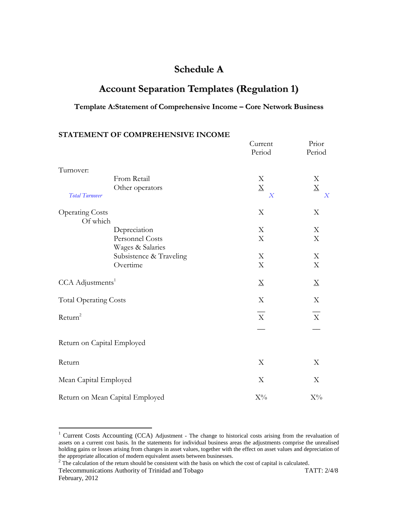# **Schedule A**

# **Account Separation Templates (Regulation 1)**

#### **Template A:Statement of Comprehensive Income – Core Network Business**

**STATEMENT OF COMPREHENSIVE INCOME**

|                              | INTERNET'L OF COMPREHIER OF LET             | Current                   | Prior                    |
|------------------------------|---------------------------------------------|---------------------------|--------------------------|
|                              |                                             | Period                    | Period                   |
| Turnover:                    |                                             |                           |                          |
|                              | From Retail                                 | $\mathbf X$               | X                        |
|                              | Other operators                             | $\underline{X}$           | $\underline{\mathbf{X}}$ |
| <b>Total Turnover</b>        |                                             | $\overline{X}$            | $\overline{X}$           |
| <b>Operating Costs</b>       |                                             | X                         | X                        |
| Of which                     |                                             |                           |                          |
|                              | Depreciation                                | X                         | X                        |
|                              | Personnel Costs                             | $\boldsymbol{\mathrm{X}}$ | $\mathbf X$              |
|                              | Wages & Salaries<br>Subsistence & Traveling | $\boldsymbol{\mathrm{X}}$ | X                        |
|                              | Overtime                                    | X                         | X                        |
| CCA Adjustments <sup>1</sup> |                                             | $\underline{X}$           | $\underline{X}$          |
| <b>Total Operating Costs</b> |                                             | X                         | $\mathbf X$              |
| Return <sup>2</sup>          |                                             | $\overline{\mathrm{x}}$   | $\bar{X}$                |
|                              |                                             |                           |                          |
| Return on Capital Employed   |                                             |                           |                          |
| Return                       |                                             | X                         | X                        |
| Mean Capital Employed        |                                             | X                         | X                        |
|                              | Return on Mean Capital Employed             | $X\%$                     | $X\%$                    |

 $\overline{a}$ 

 $1$  Current Costs Accounting (CCA) Adjustment - The change to historical costs arising from the revaluation of assets on a current cost basis. In the statements for individual business areas the adjustments comprise the unrealised holding gains or losses arising from changes in asset values, together with the effect on asset values and depreciation of the appropriate allocation of modern equivalent assets between businesses.<br><sup>2</sup> The calculation of the return should be consistent with the basis on which the cost of capital is calculated.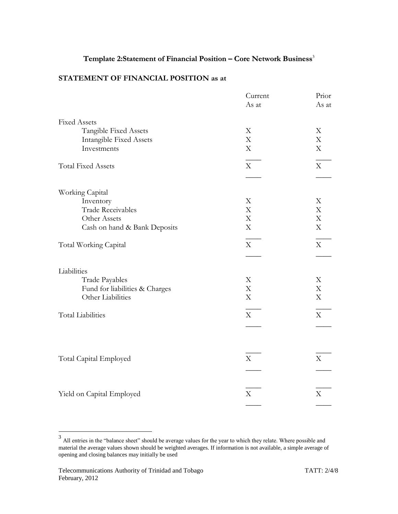### **Template 2:Statement of Financial Position – Core Network Business** 3

#### **STATEMENT OF FINANCIAL POSITION as at**

|                                | Current     | Prior                     |
|--------------------------------|-------------|---------------------------|
|                                | As at       | As at                     |
| <b>Fixed Assets</b>            |             |                           |
| Tangible Fixed Assets          | X           | X                         |
| <b>Intangible Fixed Assets</b> | $\mathbf X$ | X                         |
| Investments                    | $\mathbf X$ | X                         |
| <b>Total Fixed Assets</b>      | $\mathbf X$ | $\boldsymbol{\mathrm{X}}$ |
|                                |             |                           |
| Working Capital                |             |                           |
| Inventory                      | X           | X                         |
| <b>Trade Receivables</b>       | $\mathbf X$ | X                         |
| Other Assets                   | $\mathbf X$ | X                         |
| Cash on hand & Bank Deposits   | $\mathbf X$ | X                         |
| Total Working Capital          | $\rm X$     | $\boldsymbol{\mathrm{X}}$ |
|                                |             |                           |
| Liabilities                    |             |                           |
| Trade Payables                 | $\mathbf X$ | X                         |
| Fund for liabilities & Charges | $\mathbf X$ | X                         |
| Other Liabilities              | $\mathbf X$ | X                         |
| <b>Total Liabilities</b>       | $\mathbf X$ | $\mathbf X$               |
|                                |             |                           |
|                                |             |                           |
| Total Capital Employed         | X           | X                         |
|                                |             |                           |
|                                |             |                           |
| Yield on Capital Employed      | X           | X                         |
|                                |             |                           |
|                                |             |                           |

<sup>&</sup>lt;sup>3</sup> All entries in the "balance sheet" should be average values for the year to which they relate. Where possible and material the average values shown should be weighted averages. If information is not available, a simple average of opening and closing balances may initially be used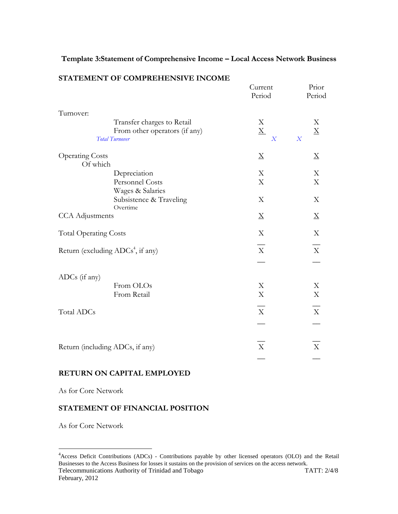### **Template 3:Statement of Comprehensive Income – Local Access Network Business**

|                                               |                                     | Current<br>Period                 | Prior<br>Period                   |
|-----------------------------------------------|-------------------------------------|-----------------------------------|-----------------------------------|
| Turnover:                                     |                                     |                                   |                                   |
|                                               | Transfer charges to Retail          | X                                 | X                                 |
| <b>Total Turnover</b>                         | From other operators (if any)       | $\underline{X}$<br>$\overline{X}$ | $\underline{X}$<br>$\overline{X}$ |
| <b>Operating Costs</b><br>Of which            |                                     | $\boldsymbol{\mathrm{X}}$         | $\boldsymbol{\mathrm{X}}$         |
| Depreciation                                  |                                     | X                                 | $\boldsymbol{\mathrm{X}}$         |
|                                               | Personnel Costs<br>Wages & Salaries | $\boldsymbol{\mathrm{X}}$         | $\mathbf X$                       |
| Overtime                                      | Subsistence & Traveling             | X                                 | X                                 |
| <b>CCA</b> Adjustments                        |                                     | $\mathbf X$                       | ${\underline{\rm X}}$             |
| <b>Total Operating Costs</b>                  |                                     | X                                 | X                                 |
| Return (excluding ADCs <sup>4</sup> , if any) |                                     | $\mathbf X$                       | $\mathbf X$                       |
| ADCs (if any)                                 |                                     |                                   |                                   |
| From OLOs                                     |                                     | X                                 | X                                 |
| From Retail                                   |                                     | X                                 | $\mathbf X$                       |
| Total ADCs                                    |                                     | $\mathbf X$                       | $\mathbf X$                       |
|                                               |                                     |                                   |                                   |
| Return (including ADCs, if any)               |                                     | X                                 | $\mathbf X$                       |
|                                               |                                     |                                   |                                   |

#### **STATEMENT OF COMPREHENSIVE INCOME**

#### **RETURN ON CAPITAL EMPLOYED**

As for Core Network

#### **STATEMENT OF FINANCIAL POSITION**

As for Core Network

 $\overline{a}$ 

Telecommunications Authority of Trinidad and Tobago TATT: 2/4/8 February, 2012 <sup>4</sup> Access Deficit Contributions (ADCs) - Contributions payable by other licensed operators (OLO) and the Retail Businesses to the Access Business for losses it sustains on the provision of services on the access network.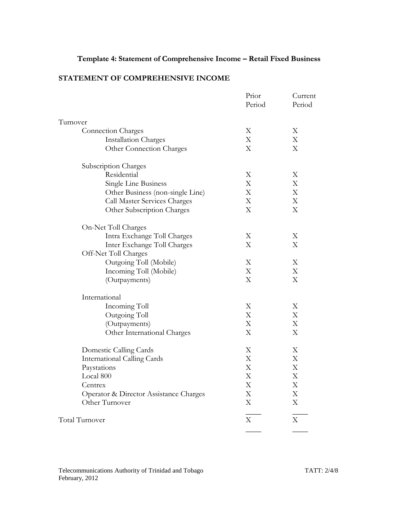# **Template 4: Statement of Comprehensive Income – Retail Fixed Business**

## **STATEMENT OF COMPREHENSIVE INCOME**

|                                        | Prior<br>Period           | Current<br>Period         |
|----------------------------------------|---------------------------|---------------------------|
| Turnover                               |                           |                           |
| <b>Connection Charges</b>              | Χ                         | Χ                         |
| <b>Installation Charges</b>            | X                         | X                         |
| Other Connection Charges               | X                         | X                         |
| Subscription Charges                   |                           |                           |
| Residential                            | X                         | X                         |
| Single Line Business                   | $\boldsymbol{\mathrm{X}}$ | $\boldsymbol{\mathrm{X}}$ |
| Other Business (non-single Line)       | $\boldsymbol{\mathrm{X}}$ | $\mathbf X$               |
| Call Master Services Charges           | $\boldsymbol{\mathrm{X}}$ | $\boldsymbol{\mathrm{X}}$ |
| Other Subscription Charges             | X                         | $\boldsymbol{\mathrm{X}}$ |
| On-Net Toll Charges                    |                           |                           |
| Intra Exchange Toll Charges            | Χ                         | Χ                         |
| Inter Exchange Toll Charges            | X                         | Χ                         |
| Off-Net Toll Charges                   |                           |                           |
| Outgoing Toll (Mobile)                 | X                         | X                         |
| Incoming Toll (Mobile)                 | X                         | X                         |
| (Outpayments)                          | X                         | $\boldsymbol{\mathrm{X}}$ |
| International                          |                           |                           |
| Incoming Toll                          | Χ                         | Χ                         |
| Outgoing Toll                          | $\boldsymbol{\mathrm{X}}$ | $\boldsymbol{\mathrm{X}}$ |
| (Outpayments)                          | $\boldsymbol{\mathrm{X}}$ | $\boldsymbol{\mathrm{X}}$ |
| Other International Charges            | X                         | $\boldsymbol{\mathrm{X}}$ |
| Domestic Calling Cards                 | X                         | X                         |
| <b>International Calling Cards</b>     | X                         | X                         |
| Paystations                            | $\boldsymbol{\mathrm{X}}$ | $\boldsymbol{\mathrm{X}}$ |
| Local 800                              | X                         | X                         |
| Centrex                                | X                         | X                         |
| Operator & Director Assistance Charges | $\boldsymbol{\mathrm{X}}$ | $\boldsymbol{\mathrm{X}}$ |
| Other Turnover                         | X                         | $\boldsymbol{\mathrm{X}}$ |
| Total Turnover                         | X                         | X                         |
|                                        |                           |                           |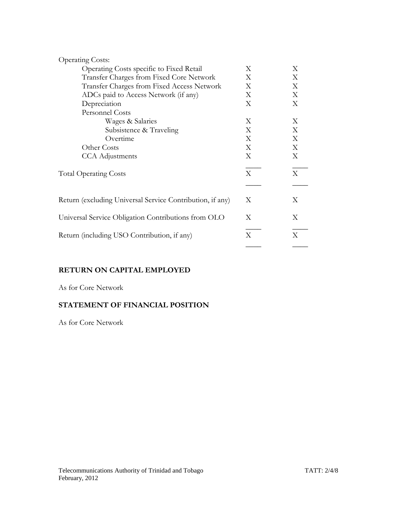| <b>Operating Costs:</b>                                   |   |   |
|-----------------------------------------------------------|---|---|
| Operating Costs specific to Fixed Retail                  | X | X |
| Transfer Charges from Fixed Core Network                  | X | X |
| Transfer Charges from Fixed Access Network                | X | X |
| ADCs paid to Access Network (if any)                      | X | X |
| Depreciation                                              | X | X |
| <b>Personnel Costs</b>                                    |   |   |
| Wages & Salaries                                          | X | X |
| Subsistence & Traveling                                   | X | X |
| Overtime                                                  | X | X |
| Other Costs                                               | X | X |
| <b>CCA</b> Adjustments                                    | X | X |
| <b>Total Operating Costs</b>                              | X | X |
|                                                           |   |   |
| Return (excluding Universal Service Contribution, if any) | Χ | Χ |
| Universal Service Obligation Contributions from OLO       | X | X |
| Return (including USO Contribution, if any)               | X | Χ |
|                                                           |   |   |

### **RETURN ON CAPITAL EMPLOYED**

As for Core Network

# **STATEMENT OF FINANCIAL POSITION**

As for Core Network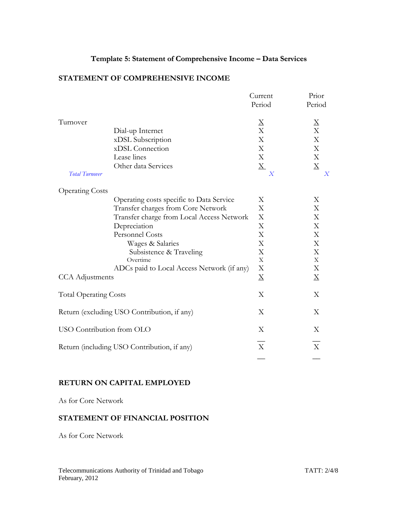### **Template 5: Statement of Comprehensive Income – Data Services**

#### **STATEMENT OF COMPREHENSIVE INCOME**

|                              |                                             | Current                   | Prior                   |
|------------------------------|---------------------------------------------|---------------------------|-------------------------|
|                              |                                             | Period                    | Period                  |
| Turnover                     |                                             | $\underline{X}$           | $\overline{\mathrm{X}}$ |
|                              | Dial-up Internet                            | X                         | $\overline{X}$          |
|                              | xDSL Subscription                           | $\mathbf X$               | X                       |
|                              | xDSL Connection                             | $\mathbf X$               | X                       |
|                              | Lease lines                                 | X                         | X                       |
|                              | Other data Services                         | $\underline{X}$           | $\underline{X}$         |
| <b>Total Turnover</b>        |                                             | $\boldsymbol{X}$          | X                       |
| <b>Operating Costs</b>       |                                             |                           |                         |
|                              | Operating costs specific to Data Service    | X                         | X                       |
|                              | Transfer charges from Core Network          | X                         | X                       |
|                              | Transfer charge from Local Access Network   | X                         | X                       |
|                              | Depreciation                                | X                         | X                       |
|                              | <b>Personnel Costs</b>                      | $\boldsymbol{\mathrm{X}}$ | X                       |
|                              | Wages & Salaries                            | X                         | X                       |
|                              | Subsistence & Traveling                     | X                         | X                       |
|                              | Overtime                                    | X                         | $\mathbf X$             |
|                              | ADCs paid to Local Access Network (if any)  | X                         | X                       |
| <b>CCA</b> Adjustments       |                                             | $\underline{X}$           | $\mathbf X$             |
| <b>Total Operating Costs</b> |                                             | X                         | X                       |
|                              | Return (excluding USO Contribution, if any) | X                         | X                       |
| USO Contribution from OLO    |                                             | X                         | X                       |
|                              | Return (including USO Contribution, if any) | $\boldsymbol{\mathrm{X}}$ | X                       |
|                              |                                             |                           |                         |

#### **RETURN ON CAPITAL EMPLOYED**

As for Core Network

### **STATEMENT OF FINANCIAL POSITION**

As for Core Network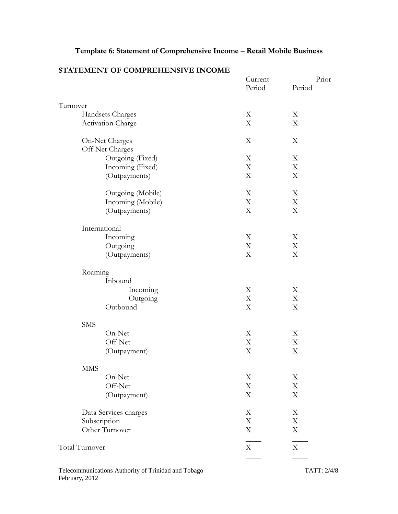# **Template 6: Statement of Comprehensive Income – Retail Mobile Business**

|                       | Current<br>Period         | Prior<br>Period           |
|-----------------------|---------------------------|---------------------------|
| Turnover              |                           |                           |
| Handsets Charges      | X                         | X                         |
| Activation Charge     | X                         | X                         |
| On-Net Charges        | $\mathbf X$               | X                         |
| Off-Net Charges       |                           |                           |
| Outgoing (Fixed)      | X                         | Χ                         |
| Incoming (Fixed)      | $\mathbf X$               | X                         |
| (Outpayments)         | $\boldsymbol{\mathrm{X}}$ | X                         |
| Outgoing (Mobile)     | X                         | X                         |
| Incoming (Mobile)     | $\mathbf X$               | X                         |
| (Outpayments)         | $\boldsymbol{\mathrm{X}}$ | X                         |
| International         |                           |                           |
| Incoming              | X                         | X                         |
| Outgoing              | $\mathbf X$               | X                         |
| (Outpayments)         | X                         | X                         |
| Roaming               |                           |                           |
| Inbound               |                           |                           |
| Incoming              | $\boldsymbol{\mathrm{X}}$ | X                         |
| Outgoing              | X                         | X                         |
| Outbound              | $\boldsymbol{\mathrm{X}}$ | X                         |
| <b>SMS</b>            |                           |                           |
| On-Net                | X                         | X                         |
| Off-Net               | $\mathbf X$               | X                         |
| (Outpayment)          | $\boldsymbol{\mathrm{X}}$ | X                         |
| <b>MMS</b>            |                           |                           |
| On-Net                | X                         | Χ                         |
| Off-Net               | $\mathbf X$               | X                         |
| (Outpayment)          | X                         | X                         |
| Data Services charges | X                         | Χ                         |
| Subscription          | $\mathbf X$               | $\boldsymbol{\mathrm{X}}$ |
| Other Turnover        | X                         | X                         |
| Total Turnover        | X                         | X                         |
|                       |                           |                           |

### **STATEMENT OF COMPREHENSIVE INCOME**

Telecommunications Authority of Trinidad and Tobago TATT: 2/4/8 February, 2012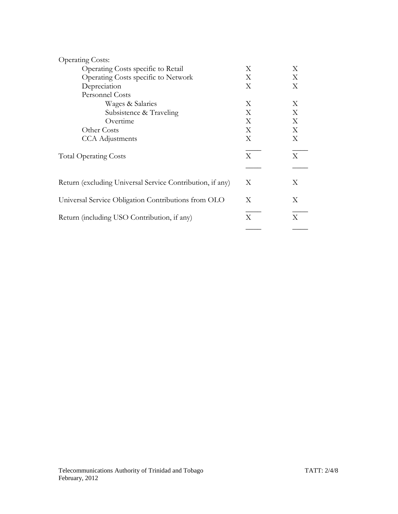| <b>Operating Costs:</b>                                   |   |   |
|-----------------------------------------------------------|---|---|
| Operating Costs specific to Retail                        | X | X |
| Operating Costs specific to Network                       | X | X |
| Depreciation                                              | X | X |
| <b>Personnel Costs</b>                                    |   |   |
| Wages & Salaries                                          | X | X |
| Subsistence & Traveling                                   | X | X |
| Overtime                                                  | X | X |
| Other Costs                                               | X | X |
| <b>CCA</b> Adjustments                                    | X | X |
| <b>Total Operating Costs</b>                              | X | X |
|                                                           |   |   |
| Return (excluding Universal Service Contribution, if any) | X | X |
| Universal Service Obligation Contributions from OLO       | X | X |
| Return (including USO Contribution, if any)               | X | X |
|                                                           |   |   |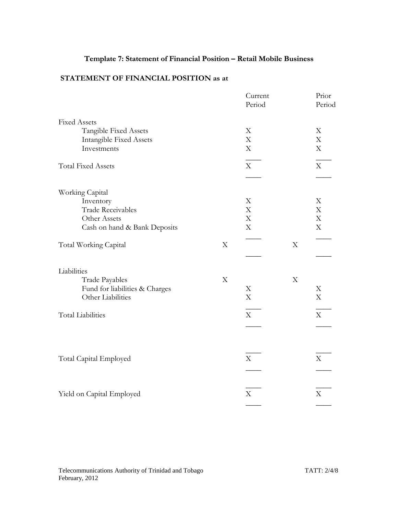# **Template 7: Statement of Financial Position – Retail Mobile Business**

# **STATEMENT OF FINANCIAL POSITION as at**

|                                |             | Current<br>Period         |                           | Prior<br>Period           |
|--------------------------------|-------------|---------------------------|---------------------------|---------------------------|
| <b>Fixed Assets</b>            |             |                           |                           |                           |
| Tangible Fixed Assets          |             | X                         |                           | X                         |
| <b>Intangible Fixed Assets</b> |             | X                         |                           | X                         |
| Investments                    |             | $\mathbf X$               |                           | X                         |
| <b>Total Fixed Assets</b>      |             | $\mathbf X$               |                           | X                         |
|                                |             |                           |                           |                           |
| Working Capital                |             |                           |                           |                           |
| Inventory                      |             | X                         |                           | X                         |
| Trade Receivables              |             | X                         |                           | X                         |
| Other Assets                   |             | X                         |                           | $\boldsymbol{\mathrm{X}}$ |
| Cash on hand & Bank Deposits   |             | $\boldsymbol{\mathrm{X}}$ |                           | X                         |
| Total Working Capital          | X           |                           | X                         |                           |
|                                |             |                           |                           |                           |
| Liabilities                    |             |                           |                           |                           |
| Trade Payables                 | $\mathbf X$ |                           | $\boldsymbol{\mathrm{X}}$ |                           |
| Fund for liabilities & Charges |             | X                         |                           | X                         |
| Other Liabilities              |             | $\boldsymbol{\mathrm{X}}$ |                           | $\boldsymbol{\mathrm{X}}$ |
| <b>Total Liabilities</b>       |             | $\mathbf X$               |                           | $\mathbf X$               |
|                                |             |                           |                           |                           |
|                                |             |                           |                           |                           |
|                                |             |                           |                           |                           |
| Total Capital Employed         |             | $\mathbf X$               |                           | X                         |
|                                |             |                           |                           |                           |
| Yield on Capital Employed      |             | X                         |                           | X                         |
|                                |             |                           |                           |                           |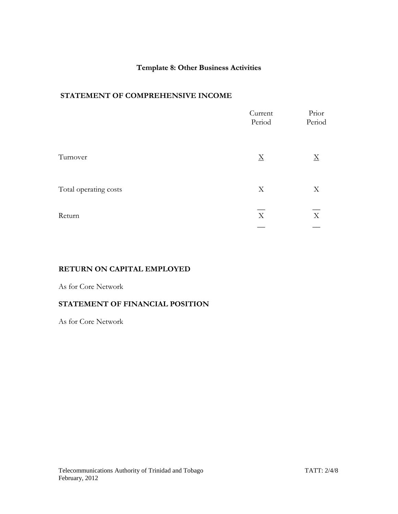### **Template 8: Other Business Activities**

#### **STATEMENT OF COMPREHENSIVE INCOME**

|                       | Current<br>Period | Prior<br>Period |
|-----------------------|-------------------|-----------------|
| Turnover              | $\underline{X}$   | $\mathbf X$     |
| Total operating costs | X                 | X               |
| Return                | X                 | X               |
|                       |                   |                 |

### **RETURN ON CAPITAL EMPLOYED**

#### As for Core Network

#### **STATEMENT OF FINANCIAL POSITION**

As for Core Network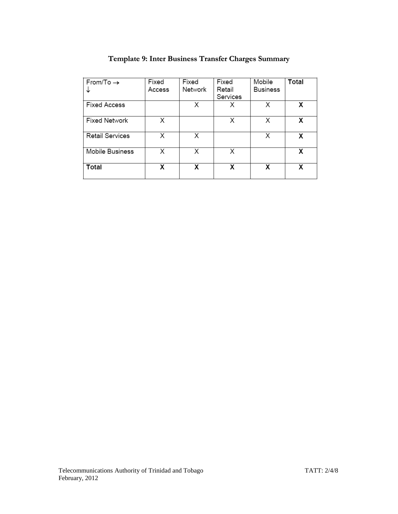| From/To $\rightarrow$  | Fixed  | Fixed   | Fixed    | Mobile          | Total |
|------------------------|--------|---------|----------|-----------------|-------|
|                        | Access | Network | Retail   | <b>Business</b> |       |
|                        |        |         | Services |                 |       |
| <b>Fixed Access</b>    |        | Х       | Х        | X               | X     |
| <b>Fixed Network</b>   | X      |         | Х        | X               | Х     |
| <b>Retail Services</b> | X      | Χ       |          | X               | Х     |
| Mobile Business        | X      | Х       | X        |                 | х     |
| Total                  | x      | x       | x        | x               | χ     |

# **Template 9: Inter Business Transfer Charges Summary**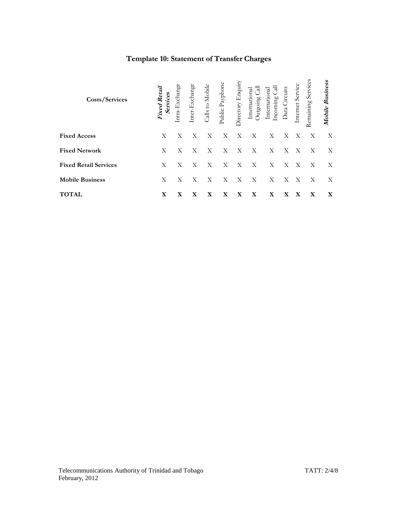# **Template 10: Statement of Transfer Charges**

| Costs/Services               | <b>Fixed Retail</b><br>Services | ntra-Exchange | Inter-Exchange | Calls to Mobile | Public Payphone | <b>Directory Enquiry</b> | त्र<br>International<br>putgoing | $na$<br>Internati<br>Incoming | Data Circuits | Internet Service | Remaining Service | Mobile Business |
|------------------------------|---------------------------------|---------------|----------------|-----------------|-----------------|--------------------------|----------------------------------|-------------------------------|---------------|------------------|-------------------|-----------------|
| <b>Fixed Access</b>          | X                               | X             | X              | X               | $\mathbf{X}$    | X                        | $\boldsymbol{\mathrm{X}}$        | X                             | X             | $\mathbf{X}$     | X                 | X               |
| <b>Fixed Network</b>         | X                               | Х             | X              | X               | X               | X                        | X                                | X                             | X             | X                | X                 | X               |
| <b>Fixed Retail Services</b> | X                               | X             | X              | X               | $\mathbf{X}$    | $\mathbf{X}$             | $\mathbf{X}$                     | X                             | $\mathbf{X}$  | X                | $\mathbf{X}$      | X               |
| <b>Mobile Business</b>       | Χ                               | Х             | X              | X               | X               | X                        | X                                | X                             | X             | X                | X                 | X               |
| <b>TOTAL</b>                 | X                               | X             | X              | X               | X               | X                        | X                                | X                             | X             | X                | X                 | X               |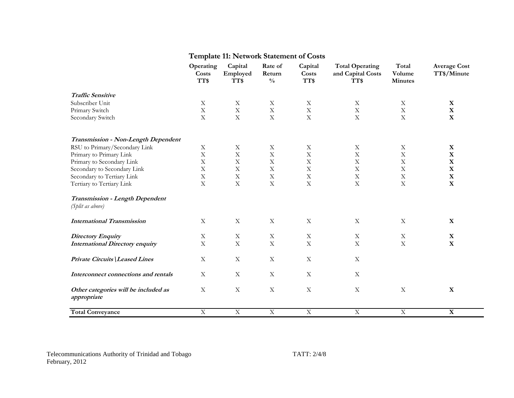# **Template 11: Network Statement of Costs**

|                                                     | Operating<br>Costs | Capital<br>Employed | Rate of<br>Return | Capital<br>Costs          | <b>Total Operating</b><br>and Capital Costs | Total<br>Volume | <b>Average Cost</b><br>TT\$/Minute |
|-----------------------------------------------------|--------------------|---------------------|-------------------|---------------------------|---------------------------------------------|-----------------|------------------------------------|
|                                                     | TT\$               | TT\$                | $\frac{0}{0}$     | TT\$                      | TT\$                                        | <b>Minutes</b>  |                                    |
| <b>Traffic Sensitive</b>                            |                    |                     |                   |                           |                                             |                 |                                    |
| Subscriber Unit                                     | $\mathbf X$        | $\mathbf X$         | $\mathbf X$       | $\mathbf X$               | $\mathbf X$                                 | $\mathbf X$     | $\mathbf X$                        |
| Primary Switch                                      | $\mathbf X$        | $\mathbf X$         | $\mathbf X$       | $\mathbf X$               | $\mathbf X$                                 | $\mathbf X$     | $\mathbf X$                        |
| Secondary Switch                                    | $\mathbf X$        | $\mathbf X$         | $\mathbf X$       | $\mathbf X$               | $\mathbf X$                                 | $\mathbf X$     | $\mathbf X$                        |
| Transmission - Non-Length Dependent                 |                    |                     |                   |                           |                                             |                 |                                    |
| RSU to Primary/Secondary Link                       | $\mathbf X$        | $\mathbf X$         | $\mathbf X$       | $\mathbf X$               | $\mathbf X$                                 | $\mathbf X$     | $\mathbf{X}$                       |
| Primary to Primary Link                             | $\mathbf X$        | $\mathbf X$         | $\mathbf X$       | $\mathbf X$               | $\mathbf X$                                 | $\mathbf X$     | $\mathbf X$                        |
| Primary to Secondary Link                           | $\mathbf X$        | $\mathbf X$         | $\mathbf X$       | $\mathbf X$               | $\mathbf X$                                 | $\mathbf X$     | $\mathbf X$                        |
| Secondary to Secondary Link                         | $\mathbf X$        | $\mathbf X$         | $\mathbf X$       | $\mathbf X$               | $\mathbf X$                                 | $\mathbf X$     | $\mathbf X$                        |
| Secondary to Tertiary Link                          | $\mathbf X$        | $\mathbf X$         | $\mathbf X$       | $\mathbf X$               | $\mathbf X$                                 | $\mathbf X$     | $\mathbf X$                        |
| Tertiary to Tertiary Link                           | $\mathbf X$        | $\mathbf X$         | $\mathbf X$       | $\mathbf X$               | $\mathbf X$                                 | $\mathbf X$     | $\mathbf X$                        |
| Transmission - Length Dependent<br>(Split as above) |                    |                     |                   |                           |                                             |                 |                                    |
| <b>International Transmission</b>                   | $\mathbf X$        | $\mathbf X$         | $\mathbf X$       | $\boldsymbol{\mathrm{X}}$ | $\mathbf X$                                 | $\mathbf X$     | X                                  |
| <b>Directory Enquiry</b>                            | $\mathbf X$        | $\mathbf X$         | $\mathbf X$       | $\mathbf X$               | $\mathbf X$                                 | $\mathbf X$     | $\mathbf X$                        |
| <b>International Directory enquiry</b>              | $\mathbf X$        | $\mathbf X$         | $\mathbf X$       | $\mathbf X$               | $\mathbf X$                                 | $\mathbf X$     | $\mathbf X$                        |
| Private Circuits   Leased Lines                     | $\mathbf X$        | $\mathbf X$         | $\mathbf X$       | $\mathbf X$               | $\mathbf X$                                 |                 |                                    |
| Interconnect connections and rentals                | $\mathbf X$        | $\mathbf X$         | $\mathbf X$       | $\mathbf X$               | $\mathbf X$                                 |                 |                                    |
| Other categories will be included as<br>appropriate | $\mathbf X$        | $\mathbf X$         | $\mathbf X$       | $\mathbf X$               | $\mathbf X$                                 | $\mathbf X$     | $\mathbf X$                        |
| <b>Total Conveyance</b>                             | $\overline{X}$     | $\overline{X}$      | $\overline{X}$    | $\overline{X}$            | $\overline{X}$                              | $\overline{X}$  | $\overline{\mathbf{X}}$            |
|                                                     |                    |                     |                   |                           |                                             |                 |                                    |

Telecommunications Authority of Trinidad and Tobago TATT: 2/4/8 February, 2012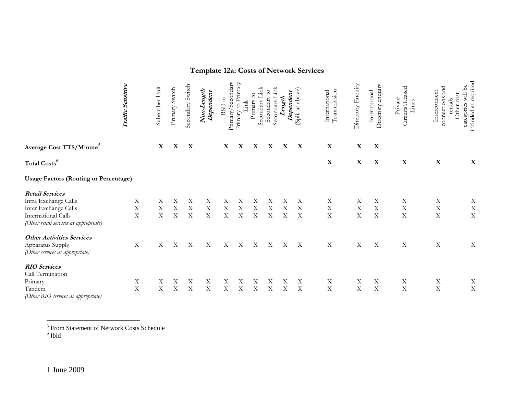# **Template 12a: Costs of Network Services**

|                                                               | Traffic Sensitive | Subscriber Unit | Primary Switch            | Secondary Switch | Non-Length<br>Dependent | Primary/Secondary<br>RSU to | Primary to Primary<br>Link | Link<br>$\overline{c}$<br>Secondary<br>Primary | ਥ਼<br>Secondary<br>Secondary | Dependent<br>Length | (Split as above)          | Transmission<br>International | Directory Enquiry | enquiry<br>International<br>Directory | Circuits Leased<br>Private<br>ines | connections and<br>Interconnect<br>rentals | included as required<br>categories will be<br>cost<br>Other |
|---------------------------------------------------------------|-------------------|-----------------|---------------------------|------------------|-------------------------|-----------------------------|----------------------------|------------------------------------------------|------------------------------|---------------------|---------------------------|-------------------------------|-------------------|---------------------------------------|------------------------------------|--------------------------------------------|-------------------------------------------------------------|
| Average Cost TT\$/Minute <sup>5</sup>                         |                   | $\mathbf X$     | $\mathbf X$               | X                |                         | X                           | $\mathbf X$                | $\mathbf X$                                    | X                            | $\mathbf X$         | $\mathbf X$               | $\mathbf X$                   | $\mathbf X$       | X                                     |                                    |                                            |                                                             |
| Total Costs <sup>6</sup>                                      |                   |                 |                           |                  |                         |                             |                            |                                                |                              |                     |                           | $\mathbf X$                   | X                 | X                                     | $\mathbf X$                        | $\mathbf X$                                | X                                                           |
| <b>Usage Factors (Routing or Percentage)</b>                  |                   |                 |                           |                  |                         |                             |                            |                                                |                              |                     |                           |                               |                   |                                       |                                    |                                            |                                                             |
| <b>Retail Services</b>                                        |                   |                 |                           |                  |                         |                             |                            |                                                |                              |                     |                           |                               |                   |                                       |                                    |                                            |                                                             |
| Intra Exchange Calls                                          | $\mathbf X$       | Х               | Х                         | Х                | Χ                       | Х                           | Х                          | Х                                              | Х                            | Х                   | Χ                         | Χ                             | Χ                 | Χ                                     | Χ                                  | X                                          | $\mathbf X$                                                 |
| Inter Exchange Calls                                          | $\mathbf X$       | Χ               | Χ                         | Χ                | $\mathbf X$             | X                           | Х                          | Χ                                              | X                            | $\rm X$             | X                         | $\mathbf X$                   | $\mathbf X$       | $\mathbf X$                           | $\mathbf X$                        | $\mathbf X$                                | $\mathbf X$                                                 |
| International Calls<br>(Other retail services as appropriate) | $\mathbf X$       | $\mathbf X$     | $\boldsymbol{\mathrm{X}}$ | $\mathbf X$      | $\mathbf X$             | $\mathbf X$                 | $\mathbf X$                | $\overline{X}$                                 | $\boldsymbol{\mathrm{X}}$    | $\mathbf X$         | $\mathbf X$               | $\bar{X}$                     | $\mathbf X$       | $\mathbf X$                           | $\mathbf X$                        | $\mathbf X$                                | $\mathbf X$                                                 |
| <b>Other Activities Services</b>                              |                   |                 |                           |                  |                         |                             |                            |                                                |                              |                     |                           |                               |                   |                                       |                                    |                                            |                                                             |
| Apparatus Supply<br>(Other services as appropriate)           | $\mathbf X$       | Χ               | X                         | X                | X                       | Χ                           | Χ                          | X                                              | X                            | X                   | $\boldsymbol{\mathrm{X}}$ | $\mathbf X$                   | X                 | X                                     | $\mathbf X$                        | $\mathbf X$                                | $\mathbf X$                                                 |
| <b>RIO</b> Services                                           |                   |                 |                           |                  |                         |                             |                            |                                                |                              |                     |                           |                               |                   |                                       |                                    |                                            |                                                             |
| Call Termination                                              |                   |                 |                           |                  |                         |                             |                            |                                                |                              |                     |                           |                               |                   |                                       |                                    |                                            |                                                             |
| Primary                                                       | $\mathbf X$       | Χ               | Х                         | Χ                | Χ                       | Х                           | Х                          | Х                                              | Χ                            | Χ                   | Χ                         | $\mathbf X$                   | X                 | $\mathbf X$                           | X                                  | $\mathbf X$                                | $\mathbf X$                                                 |
| Tandem<br>(Other RIO services as appropriate)                 | $\mathbf X$       | $\mathbf X$     | X                         | X                | $\mathbf X$             | $\overline{X}$              | X                          | $\mathbf X$                                    | $\overline{X}$               | $\overline{X}$      | $\mathbf X$               | $\mathbf X$                   | $\mathbf X$       | $\mathbf X$                           | $\mathbf X$                        | $\mathbf X$                                | $\mathbf X$                                                 |

<sup>5</sup> From Statement of Network Costs Schedule<br><sup>6</sup> Ibid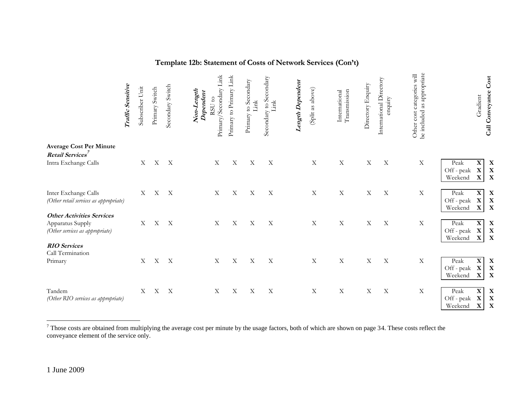| Template 12b: Statement of Costs of Network Services (Con't) |  |
|--------------------------------------------------------------|--|
|                                                              |  |

|                                                                                         | Traffic Sensitive | Subscriber Unit   | Primary Switch | Secondary Switch          | Primary/Secondary Link<br>Non-Length<br>Dependent<br>RSU to | Link<br>Primary to Primary | Primary to Secondary<br>Link | Secondary to Secondary<br>kur | Length Dependent | (Split as above) | Transmission<br>International | Directory Enquiry | International Directory<br>enquiry | as appropriate<br>Other cost categories will<br>be included | Gradient                                                                   | Call Conveyance Cost            |
|-----------------------------------------------------------------------------------------|-------------------|-------------------|----------------|---------------------------|-------------------------------------------------------------|----------------------------|------------------------------|-------------------------------|------------------|------------------|-------------------------------|-------------------|------------------------------------|-------------------------------------------------------------|----------------------------------------------------------------------------|---------------------------------|
| <b>Average Cost Per Minute</b><br>Retail Services <sup>7</sup>                          |                   |                   |                |                           |                                                             |                            |                              |                               |                  |                  |                               |                   |                                    |                                                             |                                                                            |                                 |
| Intra Exchange Calls                                                                    |                   | X                 |                | X X                       | $\mathbf X$                                                 | $\mathbf X$                | X                            | X                             |                  | $\mathbf X$      | $\mathbf X$                   | $\mathbf X$       | $\mathbf X$                        | $\mathbf X$                                                 | X<br>Peak<br>Off - peak<br>$\mathbf X$<br>Weekend<br>X                     | X<br>$\mathbf X$<br>$\mathbf X$ |
| Inter Exchange Calls<br>(Other retail services as appropriate)                          |                   | Χ                 | $\mathbf X$    | $\boldsymbol{\mathrm{X}}$ | $\mathbf X$                                                 | $\mathbf X$                | X                            | $\mathbf X$                   |                  | $\mathbf X$      | $\mathbf X$                   | $\mathbf X$       | X                                  | $\mathbf X$                                                 | X<br>Peak<br>$\mathbf X$<br>Off - peak<br>Weekend<br>X                     | $\mathbf X$<br>$\mathbf X$<br>X |
| <b>Other Activities Services</b><br>Apparatus Supply<br>(Other services as appropriate) |                   | X                 | $\mathbf X$    | $\boldsymbol{\mathrm{X}}$ | $\mathbf X$                                                 | $\mathbf X$                | X                            | $\mathbf X$                   |                  | $\mathbf X$      | $\mathbf X$                   | $\mathbf X$       | $\mathbf X$                        | $\mathbf X$                                                 | $\mathbf X$<br>Peak<br>Off - peak<br>$\mathbf X$<br>Weekend<br>$\mathbf X$ | X<br>X<br>X                     |
| <b>RIO</b> Services<br>Call Termination<br>Primary                                      |                   | $X_{\mathcal{I}}$ | $\mathbf X$    | $\boldsymbol{\mathrm{X}}$ | $\mathbf X$                                                 | $\mathbf X$                | X                            | $\mathbf X$                   |                  | $\mathbf X$      | $\mathbf X$                   | $\mathbf X$       | X                                  | $\mathbf X$                                                 | $\mathbf X$<br>Peak                                                        | X                               |
|                                                                                         |                   |                   |                |                           |                                                             |                            |                              |                               |                  |                  |                               |                   |                                    |                                                             | $\mathbf X$<br>Off - peak<br>Weekend<br>$\mathbf X$                        | X<br>$\mathbf X$                |
| Tandem<br>(Other RIO services as appropriate)                                           |                   | X                 | X              | $\boldsymbol{\mathrm{X}}$ | $\mathbf X$                                                 | X                          | Χ                            | X                             |                  | $\mathbf X$      | $\mathbf X$                   | $\mathbf X$       | $\boldsymbol{\mathrm{X}}$          | $\mathbf X$                                                 | Peak<br>X<br>X<br>Off - peak<br>$\mathbf X$<br>Weekend                     | X<br>$\mathbf X$<br>$\mathbf X$ |

 $^7$  Those costs are obtained from multiplying the average cost per minute by the usage factors, both of which are shown on page 34. These costs reflect the conveyance element of the service only.

 $\overline{a}$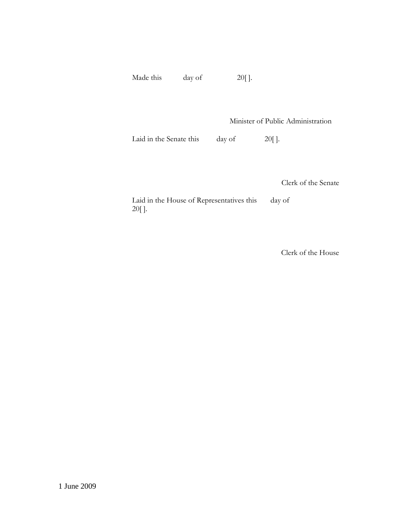Made this day of 20[].

Minister of Public Administration

Laid in the Senate this day of 20[].

Clerk of the Senate

Laid in the House of Representatives this day of 20[ ].

Clerk of the House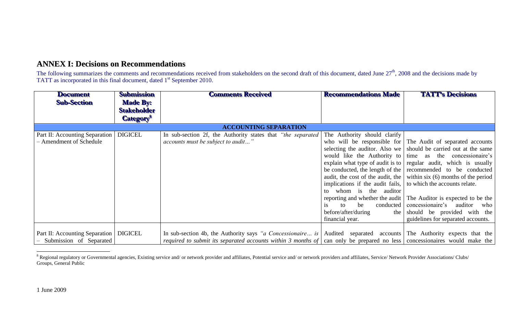# **ANNEX I: Decisions on Recommendations**

The following summarizes the comments and recommendations received from stakeholders on the second draft of this document, dated June  $27<sup>th</sup>$ , 2008 and the decisions made by TATT as incorporated in this final document, dated 1<sup>st</sup> September 2010.

| <b>Document</b>                                           | Submission                            | <b>Comments Received</b>                                                                                                                                                                                                                                                            | <b>Recommendations Made</b>                                                                                                                                                                                                            | <b>TATT's Decisions</b>                                                                                                                                                                                                                                                                                                                                                                                                                                                                                                                |
|-----------------------------------------------------------|---------------------------------------|-------------------------------------------------------------------------------------------------------------------------------------------------------------------------------------------------------------------------------------------------------------------------------------|----------------------------------------------------------------------------------------------------------------------------------------------------------------------------------------------------------------------------------------|----------------------------------------------------------------------------------------------------------------------------------------------------------------------------------------------------------------------------------------------------------------------------------------------------------------------------------------------------------------------------------------------------------------------------------------------------------------------------------------------------------------------------------------|
| <b>Sub-Section</b>                                        | <b>Made By:</b><br><b>Stakeholder</b> |                                                                                                                                                                                                                                                                                     |                                                                                                                                                                                                                                        |                                                                                                                                                                                                                                                                                                                                                                                                                                                                                                                                        |
|                                                           | <b>Category</b> <sup>®</sup>          |                                                                                                                                                                                                                                                                                     |                                                                                                                                                                                                                                        |                                                                                                                                                                                                                                                                                                                                                                                                                                                                                                                                        |
|                                                           |                                       | <b>ACCOUNTING SEPARATION</b>                                                                                                                                                                                                                                                        |                                                                                                                                                                                                                                        |                                                                                                                                                                                                                                                                                                                                                                                                                                                                                                                                        |
| Part II: Accounting Separation<br>- Amendment of Schedule | <b>DIGICEL</b>                        | In sub-section 2f, the Authority states that "the separated<br><i>accounts must be subject to audit</i> "                                                                                                                                                                           | The Authority should clarify<br>implications if the audit fails, to which the accounts relate.<br>whom is the auditor<br>to<br>reporting and whether the audit<br>be<br>conducted<br>$\mathsf{to}$<br>1S<br>before/after/during<br>the | who will be responsible for The Audit of separated accounts<br>selecting the auditor. Also we $\vert$ should be carried out at the same<br>would like the Authority to time as the concessionaire's<br>explain what type of audit is to $\vert$ regular audit, which is usually<br>be conducted, the length of the recommended to be conducted<br>audit, the cost of the audit, the $\vert$ within six (6) months of the period<br>The Auditor is expected to be the<br>concessionaire's auditor<br>who<br>should be provided with the |
|                                                           |                                       |                                                                                                                                                                                                                                                                                     | financial year.                                                                                                                                                                                                                        | guidelines for separated accounts.                                                                                                                                                                                                                                                                                                                                                                                                                                                                                                     |
| Part II: Accounting Separation<br>Submission of Separated | <b>DIGICEL</b>                        | In sub-section 4b, the Authority says "a Concessionaire is   Audited separated accounts   The Authority expects that the<br><i>required to submit its separated accounts within 3 months of</i> $\vert$ can only be prepared no less $\vert$ concessionaires would make the $\vert$ |                                                                                                                                                                                                                                        |                                                                                                                                                                                                                                                                                                                                                                                                                                                                                                                                        |

 $\overline{a}$  $8$  Regional regulatory or Governmental agencies, Existing service and/ or network provider and affiliates, Potential service and/ or network providers and affiliates, Service/ Network Provider Associations/ Clubs/ Groups, General Public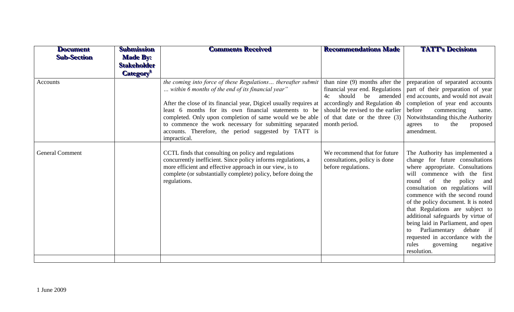| <b>Document</b><br><b>Sub-Section</b> | <b>Submission</b><br><b>Made By:</b><br><b>Stakeholder</b><br><b>Category</b> ® | <b>Comments Received</b>                                                                                                                                                                                                                                                                                                                                                                                                                        | <b>Recommendations Made</b>                                                                                                                                                                                                 | <b>TATT's Decisions</b>                                                                                                                                                                                                                                                                                                                                                                                                                                                                                                            |
|---------------------------------------|---------------------------------------------------------------------------------|-------------------------------------------------------------------------------------------------------------------------------------------------------------------------------------------------------------------------------------------------------------------------------------------------------------------------------------------------------------------------------------------------------------------------------------------------|-----------------------------------------------------------------------------------------------------------------------------------------------------------------------------------------------------------------------------|------------------------------------------------------------------------------------------------------------------------------------------------------------------------------------------------------------------------------------------------------------------------------------------------------------------------------------------------------------------------------------------------------------------------------------------------------------------------------------------------------------------------------------|
| Accounts                              |                                                                                 | the coming into force of these Regulations thereafter submit<br>within 6 months of the end of its financial year"<br>After the close of its financial year, Digicel usually requires at<br>least 6 months for its own financial statements to be<br>completed. Only upon completion of same would we be able<br>to commence the work necessary for submitting separated<br>accounts. Therefore, the period suggested by TATT is<br>impractical. | than nine $(9)$ months after the<br>financial year end. Regulations<br>should<br>be<br>4c<br>amended<br>accordingly and Regulation 4b<br>should be revised to the earlier<br>of that date or the three (3)<br>month period. | preparation of separated accounts<br>part of their preparation of year<br>end accounts, and would not await<br>completion of year end accounts<br>before<br>commencing<br>same.<br>Notwithstanding this, the Authority<br>to<br>the<br>agrees<br>proposed<br>amendment.                                                                                                                                                                                                                                                            |
| <b>General Comment</b>                |                                                                                 | CCTL finds that consulting on policy and regulations<br>concurrently inefficient. Since policy informs regulations, a<br>more efficient and effective approach in our view, is to<br>complete (or substantially complete) policy, before doing the<br>regulations.                                                                                                                                                                              | We recommend that for future<br>consultations, policy is done<br>before regulations.                                                                                                                                        | The Authority has implemented a<br>change for future consultations<br>where appropriate. Consultations<br>will commence with the first<br>policy<br>the<br>of<br>round<br>and<br>consultation on regulations will<br>commence with the second round<br>of the policy document. It is noted<br>that Regulations are subject to<br>additional safeguards by virtue of<br>being laid in Parliament, and open<br>Parliamentary<br>debate if<br>to<br>requested in accordance with the<br>rules<br>governing<br>negative<br>resolution. |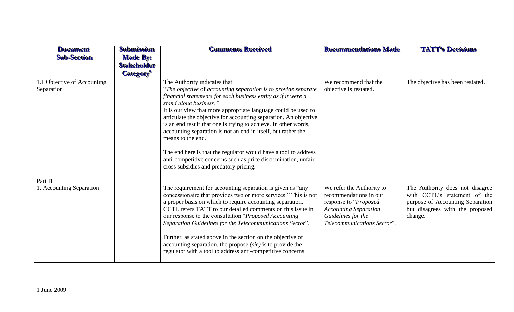| <b>Document</b><br><b>Sub-Section</b>     | <b>Submission</b><br><b>Made By:</b><br><b>Stakeholder</b><br><b>Category</b> <sup>8</sup> | <b>Comments Received</b>                                                                                                                                                                                                                                                                                                                                                                                                                                                                                                                                                                                                                                                  | <b>Recommendations Made</b>                                                                                                                                       | <b>TATT's Decisions</b>                                                                                                                           |
|-------------------------------------------|--------------------------------------------------------------------------------------------|---------------------------------------------------------------------------------------------------------------------------------------------------------------------------------------------------------------------------------------------------------------------------------------------------------------------------------------------------------------------------------------------------------------------------------------------------------------------------------------------------------------------------------------------------------------------------------------------------------------------------------------------------------------------------|-------------------------------------------------------------------------------------------------------------------------------------------------------------------|---------------------------------------------------------------------------------------------------------------------------------------------------|
| 1.1 Objective of Accounting<br>Separation |                                                                                            | The Authority indicates that:<br>"The objective of accounting separation is to provide separate"<br>financial statements for each business entity as if it were a<br>stand alone business."<br>It is our view that more appropriate language could be used to<br>articulate the objective for accounting separation. An objective<br>is an end result that one is trying to achieve. In other words,<br>accounting separation is not an end in itself, but rather the<br>means to the end.<br>The end here is that the regulator would have a tool to address<br>anti-competitive concerns such as price discrimination, unfair<br>cross subsidies and predatory pricing. | We recommend that the<br>objective is restated.                                                                                                                   | The objective has been restated.                                                                                                                  |
| Part I1<br>1. Accounting Separation       |                                                                                            | The requirement for accounting separation is given as "any<br>concessionaire that provides two or more services." This is not<br>a proper basis on which to require accounting separation.<br>CCTL refers TATT to our detailed comments on this issue in<br>our response to the consultation "Proposed Accounting<br>Separation Guidelines for the Telecommunications Sector".<br>Further, as stated above in the section on the objective of<br>accounting separation, the propose $(sic)$ is to provide the<br>regulator with a tool to address anti-competitive concerns.                                                                                              | We refer the Authority to<br>recommendations in our<br>response to "Proposed<br><b>Accounting Separation</b><br>Guidelines for the<br>Telecommunications Sector". | The Authority does not disagree<br>with CCTL's statement of the<br>purpose of Accounting Separation<br>but disagrees with the proposed<br>change. |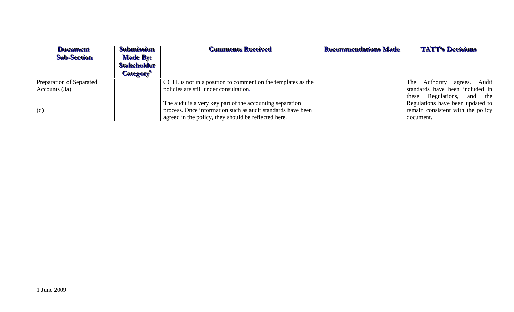| <b>Document</b><br><b>Sub-Section</b> | <b>Submission</b><br><b>Made By:</b><br><b>Stakeholder</b><br><b>Category</b> ® | <b>Comments Received</b>                                     | <b>Recommendations Made</b> | <b>TATT's Decisions</b>             |
|---------------------------------------|---------------------------------------------------------------------------------|--------------------------------------------------------------|-----------------------------|-------------------------------------|
| Preparation of Separated              |                                                                                 | CCTL is not in a position to comment on the templates as the |                             | agrees. Audit<br>Authority<br>The 1 |
| Accounts (3a)                         |                                                                                 | policies are still under consultation.                       |                             | standards have been included in     |
|                                       |                                                                                 |                                                              |                             | Regulations,<br>and the<br>these    |
|                                       |                                                                                 | The audit is a very key part of the accounting separation    |                             | Regulations have been updated to    |
| (d)                                   |                                                                                 | process. Once information such as audit standards have been  |                             | remain consistent with the policy   |
|                                       |                                                                                 | agreed in the policy, they should be reflected here.         |                             | document.                           |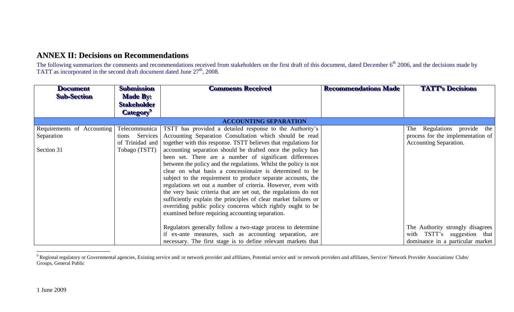# **ANNEX II: Decisions on Recommendations**

The following summarizes the comments and recommendations received from stakeholders on the first draft of this document, dated December 6<sup>th</sup> 2006, and the decisions made by TATT as incorporated in the second draft document dated June  $27<sup>th</sup>$ , 2008.

| <b>Document</b>            | <b>Submission</b>  | <b>Comments Received</b>                                         | <b>Recommendations Made</b> | <b>TATT's Decisions</b>           |
|----------------------------|--------------------|------------------------------------------------------------------|-----------------------------|-----------------------------------|
| <b>Sub-Section</b>         | <b>Made By:</b>    |                                                                  |                             |                                   |
|                            | <b>Stakeholder</b> |                                                                  |                             |                                   |
|                            | <b>Category</b>    |                                                                  |                             |                                   |
|                            |                    | <b>ACCOUNTING SEPARATION</b>                                     |                             |                                   |
| Requirements of Accounting | Telecommunica      | TSTT has provided a detailed response to the Authority's         |                             | Regulations provide the<br>The    |
| Separation                 | Services<br>tions  | Accounting Separation Consultation which should be read          |                             | process for the implementation of |
|                            | of Trinidad and    | together with this response. TSTT believes that regulations for  |                             | <b>Accounting Separation.</b>     |
| Section 31                 | Tobago (TSTT)      | accounting separation should be drafted once the policy has      |                             |                                   |
|                            |                    | been set. There are a number of significant differences          |                             |                                   |
|                            |                    | between the policy and the regulations. Whilst the policy is not |                             |                                   |
|                            |                    | clear on what basis a concessionaire is determined to be         |                             |                                   |
|                            |                    | subject to the requirement to produce separate accounts, the     |                             |                                   |
|                            |                    | regulations set out a number of criteria. However, even with     |                             |                                   |
|                            |                    | the very basic criteria that are set out, the regulations do not |                             |                                   |
|                            |                    | sufficiently explain the principles of clear market failures or  |                             |                                   |
|                            |                    | overriding public policy concerns which rightly ought to be      |                             |                                   |
|                            |                    | examined before requiring accounting separation.                 |                             |                                   |
|                            |                    |                                                                  |                             |                                   |
|                            |                    | Regulators generally follow a two-stage process to determine     |                             | The Authority strongly disagrees  |
|                            |                    | if ex-ante measures, such as accounting separation, are          |                             | with TSTT's suggestion that       |
|                            |                    | necessary. The first stage is to define relevant markets that    |                             | dominance in a particular market  |

 $\overline{a}$ <sup>9</sup> Regional regulatory or Governmental agencies, Existing service and/ or network provider and affiliates, Potential service and/ or network providers and affiliates, Service/ Network Provider Associations/ Clubs/ Groups, General Public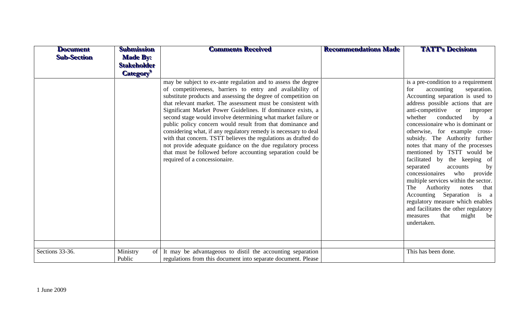| <b>Document</b><br><b>Sub-Section</b> | <b>Submission</b><br><b>Made By:</b><br><b>Stakeholder</b><br><b>Category</b> <sup>9</sup> | <b>Comments Received</b>                                                                                                                                                                                                                                                                                                                                                                                                                                                                                                                                                                                                                                                                                                                                       | <b>Recommendations Made</b> | <b>TATT's Decisions</b>                                                                                                                                                                                                                                                                                                                                                                                                                                                                                                                                                                                                                                                                                                                        |
|---------------------------------------|--------------------------------------------------------------------------------------------|----------------------------------------------------------------------------------------------------------------------------------------------------------------------------------------------------------------------------------------------------------------------------------------------------------------------------------------------------------------------------------------------------------------------------------------------------------------------------------------------------------------------------------------------------------------------------------------------------------------------------------------------------------------------------------------------------------------------------------------------------------------|-----------------------------|------------------------------------------------------------------------------------------------------------------------------------------------------------------------------------------------------------------------------------------------------------------------------------------------------------------------------------------------------------------------------------------------------------------------------------------------------------------------------------------------------------------------------------------------------------------------------------------------------------------------------------------------------------------------------------------------------------------------------------------------|
|                                       |                                                                                            | may be subject to ex-ante regulation and to assess the degree<br>of competitiveness, barriers to entry and availability of<br>substitute products and assessing the degree of competition on<br>that relevant market. The assessment must be consistent with<br>Significant Market Power Guidelines. If dominance exists, a<br>second stage would involve determining what market failure or<br>public policy concern would result from that dominance and<br>considering what, if any regulatory remedy is necessary to deal<br>with that concern. TSTT believes the regulations as drafted do<br>not provide adequate guidance on the due regulatory process<br>that must be followed before accounting separation could be<br>required of a concessionaire. |                             | is a pre-condition to a requirement<br>accounting<br>separation.<br>for<br>Accounting separation is used to<br>address possible actions that are<br>anti-competitive or<br>improper<br>whether<br>conducted<br>by a<br>concessionaire who is dominant or<br>otherwise, for example cross-<br>subsidy. The Authority further<br>notes that many of the processes<br>mentioned by TSTT would be<br>facilitated by the keeping of<br>separated<br>accounts<br>by<br>concessionaires<br>who<br>provide<br>multiple services within the sector.<br>Authority<br>The<br>notes<br>that<br>Accounting Separation<br>is a<br>regulatory measure which enables<br>and facilitates the other regulatory<br>might<br>measures<br>that<br>be<br>undertaken. |
| Sections 33-36.                       | Ministry<br>of<br>Public                                                                   | It may be advantageous to distil the accounting separation<br>regulations from this document into separate document. Please                                                                                                                                                                                                                                                                                                                                                                                                                                                                                                                                                                                                                                    |                             | This has been done.                                                                                                                                                                                                                                                                                                                                                                                                                                                                                                                                                                                                                                                                                                                            |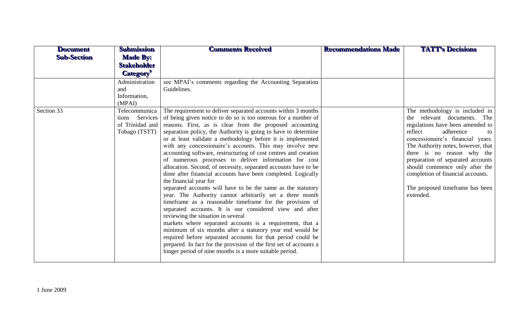| <b>Document</b><br><b>Sub-Section</b> | <b>Submission</b><br><b>Made By:</b><br><b>Stakeholder</b>                                                             | <b>Comments Received</b>                                                                                                                                                                                                                                                                                                                                                                                                                                                                                                                                                                                                                                                                                                                                                                                                                                                                                                                                                                                                                                                                                         | <b>Recommendations Made</b> | <b>TATT's Decisions</b>                                                                                                                                                                                                                                                                                                                                                                              |
|---------------------------------------|------------------------------------------------------------------------------------------------------------------------|------------------------------------------------------------------------------------------------------------------------------------------------------------------------------------------------------------------------------------------------------------------------------------------------------------------------------------------------------------------------------------------------------------------------------------------------------------------------------------------------------------------------------------------------------------------------------------------------------------------------------------------------------------------------------------------------------------------------------------------------------------------------------------------------------------------------------------------------------------------------------------------------------------------------------------------------------------------------------------------------------------------------------------------------------------------------------------------------------------------|-----------------------------|------------------------------------------------------------------------------------------------------------------------------------------------------------------------------------------------------------------------------------------------------------------------------------------------------------------------------------------------------------------------------------------------------|
|                                       | <b>Category</b> <sup>9</sup>                                                                                           |                                                                                                                                                                                                                                                                                                                                                                                                                                                                                                                                                                                                                                                                                                                                                                                                                                                                                                                                                                                                                                                                                                                  |                             |                                                                                                                                                                                                                                                                                                                                                                                                      |
| Section 33                            | Administration<br>and<br>Information,<br>(MPAI)<br>Telecommunica<br>tions Services<br>of Trinidad and<br>Tobago (TSTT) | see MPAI's comments regarding the Accounting Separation<br>Guidelines.<br>The requirement to deliver separated accounts within 3 months<br>of being given notice to do so is too onerous for a number of<br>reasons. First, as is clear from the proposed accounting<br>separation policy, the Authority is going to have to determine<br>or at least validate a methodology before it is implemented<br>with any concessionaire's accounts. This may involve new<br>accounting software, restructuring of cost centres and creation<br>of numerous processes to deliver information for cost<br>allocation. Second, of necessity, separated accounts have to be<br>done after financial accounts have been completed. Logically<br>the financial year for<br>separated accounts will have to be the same as the statutory<br>year. The Authority cannot arbitrarily set a three month<br>timeframe as a reasonable timeframe for the provision of<br>separated accounts. It is our considered view and after<br>reviewing the situation in several<br>markets where separated accounts is a requirement, that a |                             | The methodology is included in<br>the relevant documents. The<br>regulations have been amended to<br>reflect<br>adherence<br>to<br>concessionaire's financial years.<br>The Authority notes, however, that<br>there is no reason why the<br>preparation of separated accounts<br>should commence only after the<br>completion of financial accounts.<br>The proposed timeframe has been<br>extended. |
|                                       |                                                                                                                        | minimum of six months after a statutory year end would be<br>required before separated accounts for that period could be<br>prepared. In fact for the provision of the first set of accounts a<br>longer period of nine months is a more suitable period.                                                                                                                                                                                                                                                                                                                                                                                                                                                                                                                                                                                                                                                                                                                                                                                                                                                        |                             |                                                                                                                                                                                                                                                                                                                                                                                                      |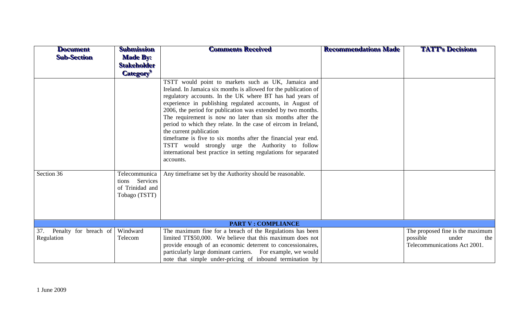| <b>Document</b><br><b>Sub-Section</b>   | <b>Submission</b><br><b>Made By:</b><br><b>Stakeholder</b><br><b>Category</b> <sup>9</sup> | <b>Comments Received</b>                                                                                                                                                                                                                                                                                                                                                                                                                                                                                                                                                                                                                                                                                                                     | <b>Recommendations Made</b> | <b>TATT's Decisions</b>                                                                      |  |
|-----------------------------------------|--------------------------------------------------------------------------------------------|----------------------------------------------------------------------------------------------------------------------------------------------------------------------------------------------------------------------------------------------------------------------------------------------------------------------------------------------------------------------------------------------------------------------------------------------------------------------------------------------------------------------------------------------------------------------------------------------------------------------------------------------------------------------------------------------------------------------------------------------|-----------------------------|----------------------------------------------------------------------------------------------|--|
| Section 36                              | Telecommunica                                                                              | TSTT would point to markets such as UK, Jamaica and<br>Ireland. In Jamaica six months is allowed for the publication of<br>regulatory accounts. In the UK where BT has had years of<br>experience in publishing regulated accounts, in August of<br>2006, the period for publication was extended by two months.<br>The requirement is now no later than six months after the<br>period to which they relate. In the case of eircom in Ireland,<br>the current publication<br>timeframe is five to six months after the financial year end.<br>TSTT would strongly urge the Authority to follow<br>international best practice in setting regulations for separated<br>accounts.<br>Any timeframe set by the Authority should be reasonable. |                             |                                                                                              |  |
|                                         | tions Services<br>of Trinidad and<br>Tobago (TSTT)                                         |                                                                                                                                                                                                                                                                                                                                                                                                                                                                                                                                                                                                                                                                                                                                              |                             |                                                                                              |  |
| <b>PART V: COMPLIANCE</b>               |                                                                                            |                                                                                                                                                                                                                                                                                                                                                                                                                                                                                                                                                                                                                                                                                                                                              |                             |                                                                                              |  |
| 37. Penalty for breach of<br>Regulation | Windward<br>Telecom                                                                        | The maximum fine for a breach of the Regulations has been<br>limited TT\$50,000. We believe that this maximum does not<br>provide enough of an economic deterrent to concessionaires,<br>particularly large dominant carriers. For example, we would<br>note that simple under-pricing of inbound termination by                                                                                                                                                                                                                                                                                                                                                                                                                             |                             | The proposed fine is the maximum<br>possible<br>under<br>the<br>Telecommunications Act 2001. |  |